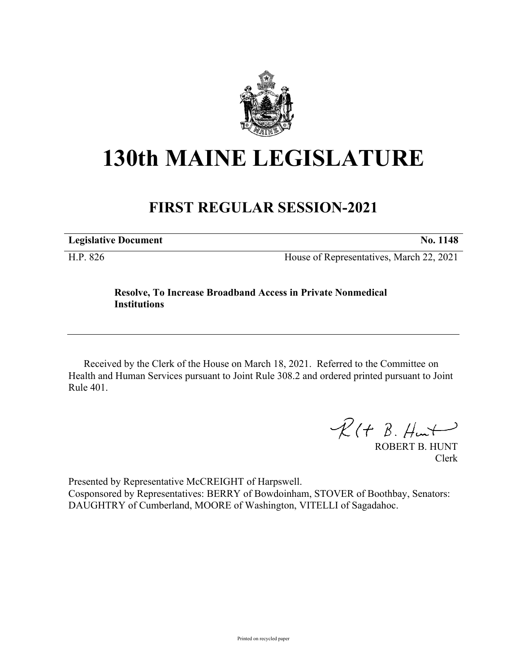

## **130th MAINE LEGISLATURE**

## **FIRST REGULAR SESSION-2021**

**Legislative Document No. 1148**

H.P. 826 House of Representatives, March 22, 2021

## **Resolve, To Increase Broadband Access in Private Nonmedical Institutions**

Received by the Clerk of the House on March 18, 2021. Referred to the Committee on Health and Human Services pursuant to Joint Rule 308.2 and ordered printed pursuant to Joint Rule 401.

 $R(H B. H<sub>un</sub>)$ 

ROBERT B. HUNT Clerk

Presented by Representative McCREIGHT of Harpswell. Cosponsored by Representatives: BERRY of Bowdoinham, STOVER of Boothbay, Senators: DAUGHTRY of Cumberland, MOORE of Washington, VITELLI of Sagadahoc.